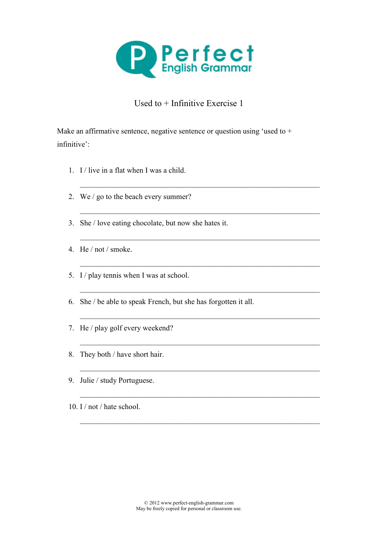

## Used to + Infinitive Exercise 1

 $\_$  , and the contribution of the contribution of  $\mathcal{L}_\mathcal{A}$ 

 $\_$  ,  $\_$  ,  $\_$  ,  $\_$  ,  $\_$  ,  $\_$  ,  $\_$  ,  $\_$  ,  $\_$  ,  $\_$  ,  $\_$  ,  $\_$  ,  $\_$  ,  $\_$  ,  $\_$  ,  $\_$  ,  $\_$  ,  $\_$  ,  $\_$ 

 $\_$  , and the contribution of the contribution of  $\mathcal{L}_\mathcal{A}$ 

 $\_$  , and the contribution of the contribution of  $\mathcal{L}_\mathcal{A}$ 

 $\_$  ,  $\_$  ,  $\_$  ,  $\_$  ,  $\_$  ,  $\_$  ,  $\_$  ,  $\_$  ,  $\_$  ,  $\_$  ,  $\_$  ,  $\_$  ,  $\_$  ,  $\_$  ,  $\_$  ,  $\_$  ,  $\_$  ,  $\_$  ,  $\_$ 

 $\_$  , and the contribution of the contribution of  $\mathcal{L}_\mathcal{A}$ 

 $\_$  , and the contribution of the contribution of  $\mathcal{L}_\mathcal{A}$ 

 $\_$  , and the contribution of the contribution of  $\mathcal{L}_\mathcal{A}$ 

 $\_$  , and the contribution of the contribution of  $\mathcal{L}_\mathcal{A}$ 

\_\_\_\_\_\_\_\_\_\_\_\_\_\_\_\_\_\_\_\_\_\_\_\_\_\_\_\_\_\_\_\_\_\_\_\_\_\_\_\_\_\_\_\_\_\_\_\_\_\_\_\_\_\_\_\_\_\_\_\_\_\_\_

Make an affirmative sentence, negative sentence or question using 'used to  $+$ infinitive':

- 1. I / live in a flat when I was a child.
- 2. We / go to the beach every summer?
- 3. She / love eating chocolate, but now she hates it.
- 4. He / not / smoke.
- 5. I / play tennis when I was at school.
- 6. She / be able to speak French, but she has forgotten it all.
- 7. He / play golf every weekend?
- 8. They both / have short hair.
- 9. Julie / study Portuguese.
- 10. I / not / hate school.